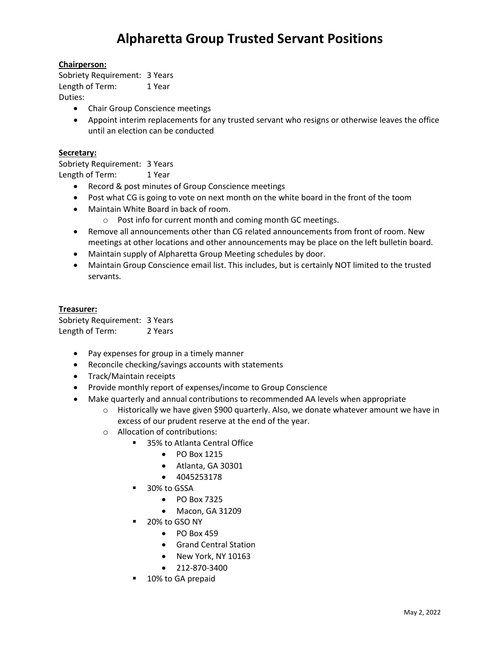### **Chairperson:**

Sobriety Requirement: 3 Years Length of Term: 1 Year Duties:

- Chair Group Conscience meetings
- Appoint interim replacements for any trusted servant who resigns or otherwise leaves the office until an election can be conducted

#### **Secretary:**

Sobriety Requirement: 3 Years Length of Term: 1 Year

- Record & post minutes of Group Conscience meetings
- Post what CG is going to vote on next month on the white board in the front of the toom
- Maintain White Board in back of room.
	- o Post info for current month and coming month GC meetings.
- Remove all announcements other than CG related announcements from front of room. New meetings at other locations and other announcements may be place on the left bulletin board.
- Maintain supply of Alpharetta Group Meeting schedules by door.
- Maintain Group Conscience email list. This includes, but is certainly NOT limited to the trusted servants.

#### **Treasurer:**

Sobriety Requirement: 3 Years Length of Term: 2 Years

- Pay expenses for group in a timely manner
- Reconcile checking/savings accounts with statements
- Track/Maintain receipts
- Provide monthly report of expenses/income to Group Conscience
- Make quarterly and annual contributions to recommended AA levels when appropriate
	- $\circ$  Historically we have given \$900 quarterly. Also, we donate whatever amount we have in excess of our prudent reserve at the end of the year.
	- o Allocation of contributions:
		- 35% to Atlanta Central Office
			- PO Box 1215
			- Atlanta, GA 30301
			- 4045253178
		- 30% to GSSA
			- PO Box 7325
			- Macon, GA 31209
		- 20% to GSO NY
			- PO Box 459
			- Grand Central Station
			- New York, NY 10163
			- 212-870-3400
		- 10% to GA prepaid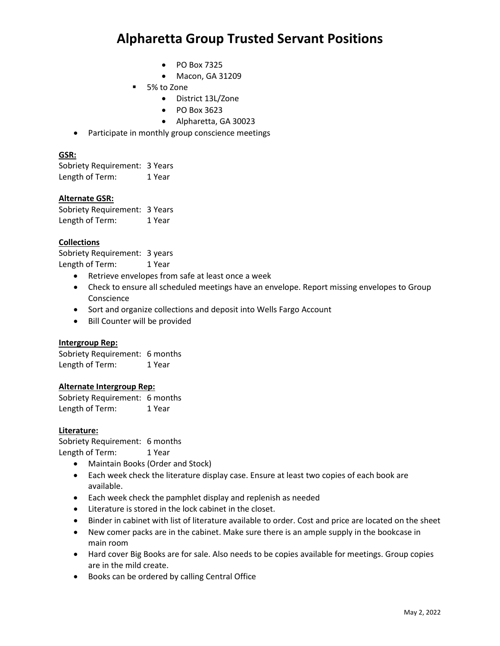- PO Box 7325
- Macon, GA 31209
- 5% to Zone
	- District 13L/Zone
	- PO Box 3623
	- Alpharetta, GA 30023
- Participate in monthly group conscience meetings

#### **GSR:**

Sobriety Requirement: 3 Years Length of Term: 1 Year

#### **Alternate GSR:**

Sobriety Requirement: 3 Years Length of Term: 1 Year

## **Collections**

Sobriety Requirement: 3 years Length of Term: 1 Year

- Retrieve envelopes from safe at least once a week
- Check to ensure all scheduled meetings have an envelope. Report missing envelopes to Group Conscience
- Sort and organize collections and deposit into Wells Fargo Account
- Bill Counter will be provided

#### **Intergroup Rep:**

Sobriety Requirement: 6 months Length of Term: 1 Year

#### **Alternate Intergroup Rep:**

Sobriety Requirement: 6 months Length of Term: 1 Year

### **Literature:**

Sobriety Requirement: 6 months Length of Term: 1 Year

- Maintain Books (Order and Stock)
- Each week check the literature display case. Ensure at least two copies of each book are available.
- Each week check the pamphlet display and replenish as needed
- Literature is stored in the lock cabinet in the closet.
- Binder in cabinet with list of literature available to order. Cost and price are located on the sheet
- New comer packs are in the cabinet. Make sure there is an ample supply in the bookcase in main room
- Hard cover Big Books are for sale. Also needs to be copies available for meetings. Group copies are in the mild create.
- Books can be ordered by calling Central Office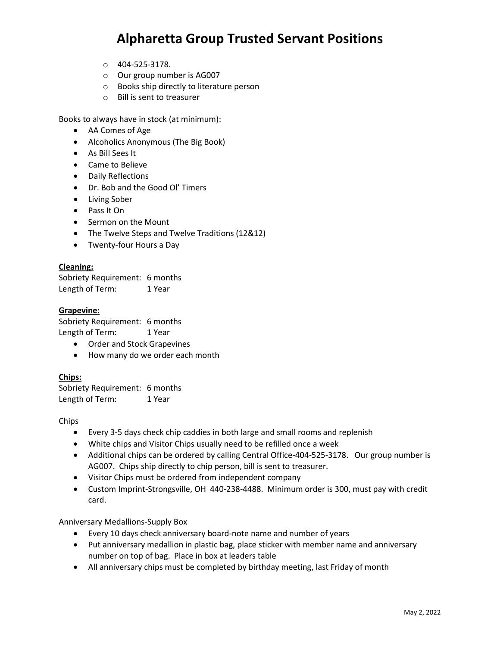- o 404-525-3178.
- o Our group number is AG007
- o Books ship directly to literature person
- o Bill is sent to treasurer

Books to always have in stock (at minimum):

- AA Comes of Age
- Alcoholics Anonymous (The Big Book)
- As Bill Sees It
- Came to Believe
- Daily Reflections
- Dr. Bob and the Good Ol' Timers
- Living Sober
- Pass It On
- Sermon on the Mount
- The Twelve Steps and Twelve Traditions (12&12)
- Twenty-four Hours a Day

#### **Cleaning:**

Sobriety Requirement: 6 months Length of Term: 1 Year

#### **Grapevine:**

Sobriety Requirement: 6 months Length of Term: 1 Year

- Order and Stock Grapevines
- How many do we order each month

#### **Chips:**

Sobriety Requirement: 6 months Length of Term: 1 Year

#### Chips

- Every 3-5 days check chip caddies in both large and small rooms and replenish
- White chips and Visitor Chips usually need to be refilled once a week
- Additional chips can be ordered by calling Central Office-404-525-3178. Our group number is AG007. Chips ship directly to chip person, bill is sent to treasurer.
- Visitor Chips must be ordered from independent company
- Custom Imprint-Strongsville, OH 440-238-4488. Minimum order is 300, must pay with credit card.

Anniversary Medallions-Supply Box

- Every 10 days check anniversary board-note name and number of years
- Put anniversary medallion in plastic bag, place sticker with member name and anniversary number on top of bag. Place in box at leaders table
- All anniversary chips must be completed by birthday meeting, last Friday of month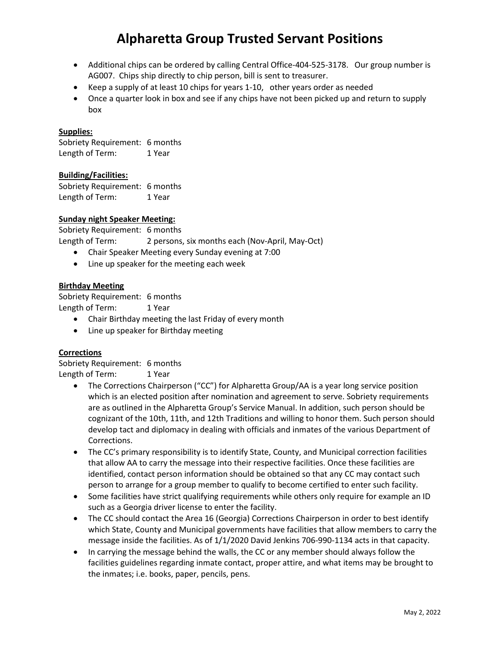- Additional chips can be ordered by calling Central Office-404-525-3178. Our group number is AG007. Chips ship directly to chip person, bill is sent to treasurer.
- Keep a supply of at least 10 chips for years 1-10, other years order as needed
- Once a quarter look in box and see if any chips have not been picked up and return to supply box

#### **Supplies:**

Sobriety Requirement: 6 months Length of Term: 1 Year

#### **Building/Facilities:**

Sobriety Requirement: 6 months Length of Term: 1 Year

#### **Sunday night Speaker Meeting:**

Sobriety Requirement: 6 months Length of Term: 2 persons, six months each (Nov-April, May-Oct)

- Chair Speaker Meeting every Sunday evening at 7:00
- Line up speaker for the meeting each week

#### **Birthday Meeting**

Sobriety Requirement: 6 months Length of Term: 1 Year

- Chair Birthday meeting the last Friday of every month
- Line up speaker for Birthday meeting

#### **Corrections**

Sobriety Requirement: 6 months Length of Term: 1 Year

- The Corrections Chairperson ("CC") for Alpharetta Group/AA is a year long service position which is an elected position after nomination and agreement to serve. Sobriety requirements are as outlined in the Alpharetta Group's Service Manual. In addition, such person should be cognizant of the 10th, 11th, and 12th Traditions and willing to honor them. Such person should develop tact and diplomacy in dealing with officials and inmates of the various Department of Corrections.
- The CC's primary responsibility is to identify State, County, and Municipal correction facilities that allow AA to carry the message into their respective facilities. Once these facilities are identified, contact person information should be obtained so that any CC may contact such person to arrange for a group member to qualify to become certified to enter such facility.
- Some facilities have strict qualifying requirements while others only require for example an ID such as a Georgia driver license to enter the facility.
- The CC should contact the Area 16 (Georgia) Corrections Chairperson in order to best identify which State, County and Municipal governments have facilities that allow members to carry the message inside the facilities. As of 1/1/2020 David Jenkins 706-990-1134 acts in that capacity.
- In carrying the message behind the walls, the CC or any member should always follow the facilities guidelines regarding inmate contact, proper attire, and what items may be brought to the inmates; i.e. books, paper, pencils, pens.